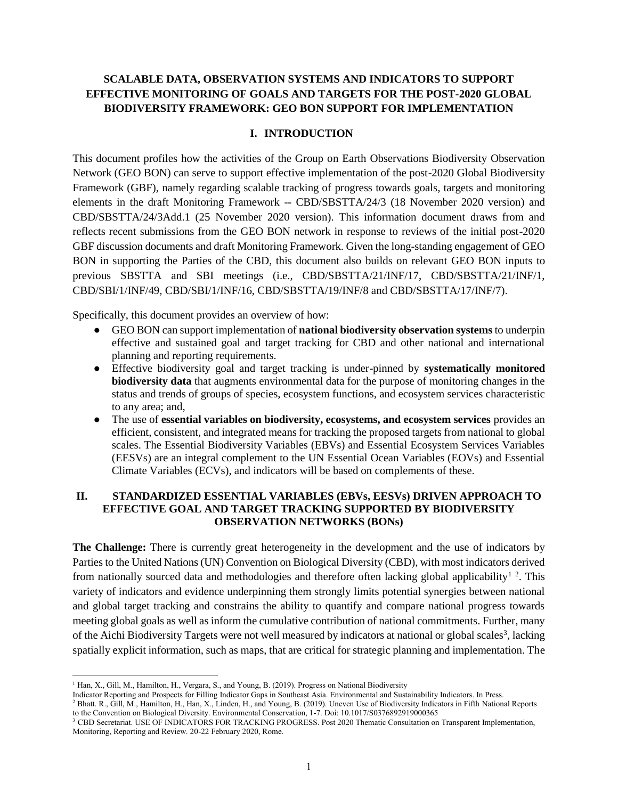# **SCALABLE DATA, OBSERVATION SYSTEMS AND INDICATORS TO SUPPORT EFFECTIVE MONITORING OF GOALS AND TARGETS FOR THE POST-2020 GLOBAL BIODIVERSITY FRAMEWORK: GEO BON SUPPORT FOR IMPLEMENTATION**

### **I. INTRODUCTION**

This document profiles how the activities of the Group on Earth Observations Biodiversity Observation Network (GEO BON) can serve to support effective implementation of the post-2020 Global Biodiversity Framework (GBF), namely regarding scalable tracking of progress towards goals, targets and monitoring elements in the draft Monitoring Framework -- CBD/SBSTTA/24/3 (18 November 2020 version) and CBD/SBSTTA/24/3Add.1 (25 November 2020 version). This information document draws from and reflects recent submissions from the GEO BON network in response to reviews of the initial post-2020 GBF discussion documents and draft Monitoring Framework. Given the long-standing engagement of GEO BON in supporting the Parties of the CBD, this document also builds on relevant GEO BON inputs to previous SBSTTA and SBI meetings (i.e., CBD/SBSTTA/21/INF/17, CBD/SBSTTA/21/INF/1, CBD/SBI/1/INF/49, CBD/SBI/1/INF/16, CBD/SBSTTA/19/INF/8 and CBD/SBSTTA/17/INF/7).

Specifically, this document provides an overview of how:

- GEO BON can support implementation of **national biodiversity observation systems** to underpin effective and sustained goal and target tracking for CBD and other national and international planning and reporting requirements.
- Effective biodiversity goal and target tracking is under-pinned by **systematically monitored biodiversity data** that augments environmental data for the purpose of monitoring changes in the status and trends of groups of species, ecosystem functions, and ecosystem services characteristic to any area; and,
- The use of **essential variables on biodiversity, ecosystems, and ecosystem services** provides an efficient, consistent, and integrated means for tracking the proposed targets from national to global scales. The Essential Biodiversity Variables (EBVs) and Essential Ecosystem Services Variables (EESVs) are an integral complement to the UN Essential Ocean Variables (EOVs) and Essential Climate Variables (ECVs), and indicators will be based on complements of these.

#### **II. STANDARDIZED ESSENTIAL VARIABLES (EBVs, EESVs) DRIVEN APPROACH TO EFFECTIVE GOAL AND TARGET TRACKING SUPPORTED BY BIODIVERSITY OBSERVATION NETWORKS (BONs)**

**The Challenge:** There is currently great heterogeneity in the development and the use of indicators by Parties to the United Nations (UN) Convention on Biological Diversity (CBD), with most indicators derived from nationally sourced data and methodologies and therefore often lacking global applicability<sup>1</sup><sup>2</sup>. This variety of indicators and evidence underpinning them strongly limits potential synergies between national and global target tracking and constrains the ability to quantify and compare national progress towards meeting global goals as well as inform the cumulative contribution of national commitments. Further, many of the Aichi Biodiversity Targets were not well measured by indicators at national or global scales<sup>3</sup>, lacking spatially explicit information, such as maps, that are critical for strategic planning and implementation. The

 $\overline{a}$ <sup>1</sup> Han, X., Gill, M., Hamilton, H., Vergara, S., and Young, B. (2019). Progress on National Biodiversity

Indicator Reporting and Prospects for Filling Indicator Gaps in Southeast Asia. Environmental and Sustainability Indicators. In Press.

<sup>2</sup> Bhatt. R., Gill, M., Hamilton, H., Han, X., Linden, H., and Young, B. (2019). Uneven Use of Biodiversity Indicators in Fifth National Reports to the Convention on Biological Diversity. Environmental Conservation, 1-7. Doi: 10.1017/S0376892919000365

<sup>&</sup>lt;sup>3</sup> CBD Secretariat. USE OF INDICATORS FOR TRACKING PROGRESS. Post 2020 Thematic Consultation on Transparent Implementation, Monitoring, Reporting and Review. 20-22 February 2020, Rome.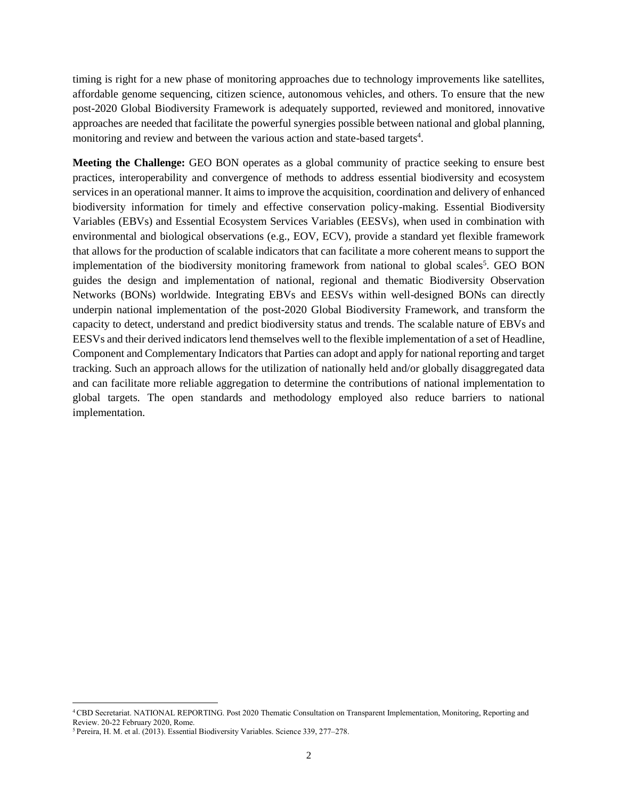timing is right for a new phase of monitoring approaches due to technology improvements like satellites, affordable genome sequencing, citizen science, autonomous vehicles, and others. To ensure that the new post-2020 Global Biodiversity Framework is adequately supported, reviewed and monitored, innovative approaches are needed that facilitate the powerful synergies possible between national and global planning, monitoring and review and between the various action and state-based targets<sup>4</sup>.

**Meeting the Challenge:** GEO BON operates as a global community of practice seeking to ensure best practices, interoperability and convergence of methods to address essential biodiversity and ecosystem services in an operational manner. It aims to improve the acquisition, coordination and delivery of enhanced biodiversity information for timely and effective conservation policy-making. Essential Biodiversity Variables (EBVs) and Essential Ecosystem Services Variables (EESVs), when used in combination with environmental and biological observations (e.g., EOV, ECV), provide a standard yet flexible framework that allows for the production of scalable indicators that can facilitate a more coherent means to support the implementation of the biodiversity monitoring framework from national to global scales<sup>5</sup>. GEO BON guides the design and implementation of national, regional and thematic Biodiversity Observation Networks (BONs) worldwide. Integrating EBVs and EESVs within well-designed BONs can directly underpin national implementation of the post-2020 Global Biodiversity Framework, and transform the capacity to detect, understand and predict biodiversity status and trends. The scalable nature of EBVs and EESVs and their derived indicators lend themselves well to the flexible implementation of a set of Headline, Component and Complementary Indicators that Parties can adopt and apply for national reporting and target tracking. Such an approach allows for the utilization of nationally held and/or globally disaggregated data and can facilitate more reliable aggregation to determine the contributions of national implementation to global targets. The open standards and methodology employed also reduce barriers to national implementation.

 $\overline{\phantom{a}}$ 

<sup>4</sup>CBD Secretariat. NATIONAL REPORTING. Post 2020 Thematic Consultation on Transparent Implementation, Monitoring, Reporting and Review. 20-22 February 2020, Rome.

<sup>5</sup> Pereira, H. M. et al. (2013). Essential Biodiversity Variables. Science 339, 277–278.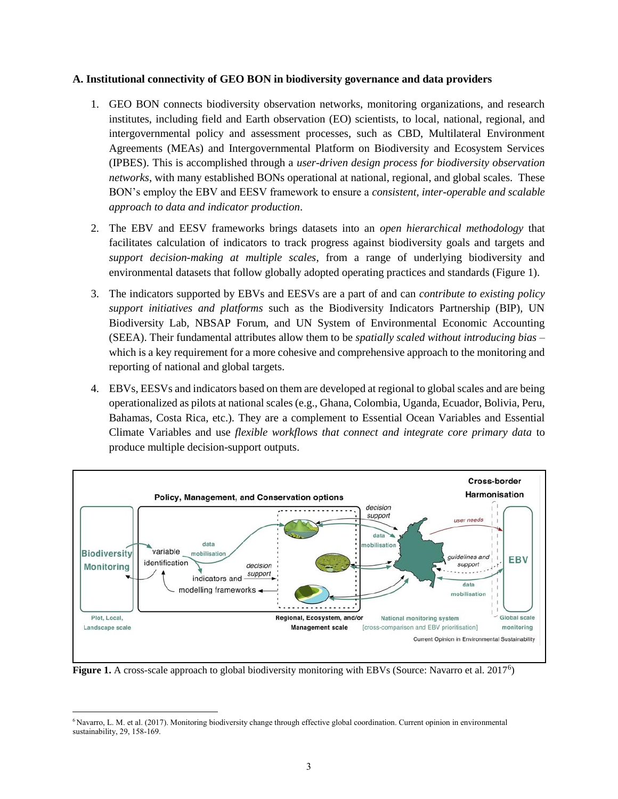#### **A. Institutional connectivity of GEO BON in biodiversity governance and data providers**

- 1. GEO BON connects biodiversity observation networks, monitoring organizations, and research institutes, including field and Earth observation (EO) scientists, to local, national, regional, and intergovernmental policy and assessment processes, such as CBD, Multilateral Environment Agreements (MEAs) and Intergovernmental Platform on Biodiversity and Ecosystem Services (IPBES). This is accomplished through a *user-driven design process for biodiversity observation networks*, with many established BONs operational at national, regional, and global scales. These BON's employ the EBV and EESV framework to ensure a *consistent, inter-operable and scalable approach to data and indicator production*.
- 2. The EBV and EESV frameworks brings datasets into an *open hierarchical methodology* that facilitates calculation of indicators to track progress against biodiversity goals and targets and *support decision-making at multiple scales*, from a range of underlying biodiversity and environmental datasets that follow globally adopted operating practices and standards (Figure 1).
- 3. The indicators supported by EBVs and EESVs are a part of and can *contribute to existing policy support initiatives and platforms* such as the Biodiversity Indicators Partnership (BIP), UN Biodiversity Lab, NBSAP Forum, and UN System of Environmental Economic Accounting (SEEA). Their fundamental attributes allow them to be *spatially scaled without introducing bias* – which is a key requirement for a more cohesive and comprehensive approach to the monitoring and reporting of national and global targets.
- 4. EBVs, EESVs and indicators based on them are developed at regional to global scales and are being operationalized as pilots at national scales (e.g., Ghana, Colombia, Uganda, Ecuador, Bolivia, Peru, Bahamas, Costa Rica, etc.). They are a complement to Essential Ocean Variables and Essential Climate Variables and use *flexible workflows that connect and integrate core primary data* to produce multiple decision-support outputs.



Figure 1. A cross-scale approach to global biodiversity monitoring with EBVs (Source: Navarro et al. 2017<sup>6</sup>)

 $\overline{\phantom{a}}$ <sup>6</sup> Navarro, L. M. et al. (2017). Monitoring biodiversity change through effective global coordination. Current opinion in environmental sustainability, 29, 158-169.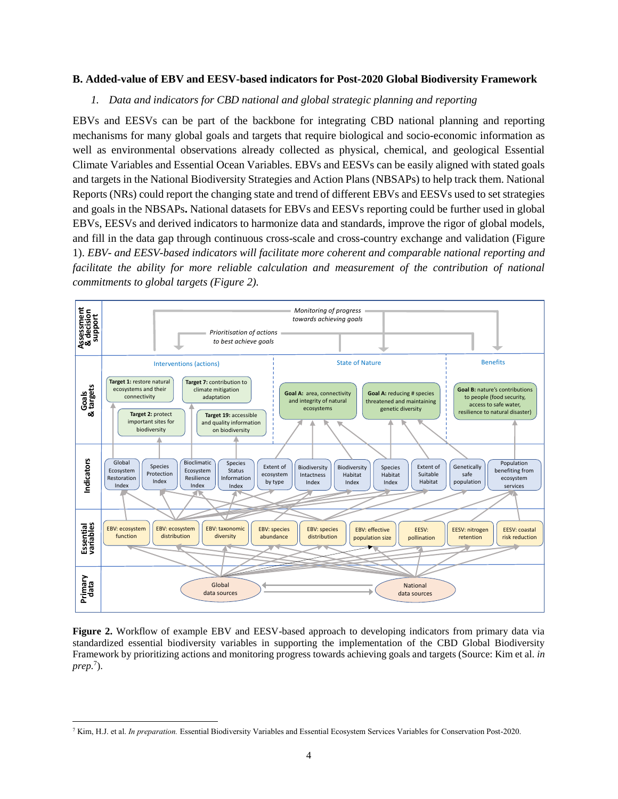#### **B. Added-value of EBV and EESV-based indicators for Post-2020 Global Biodiversity Framework**

#### *1. Data and indicators for CBD national and global strategic planning and reporting*

EBVs and EESVs can be part of the backbone for integrating CBD national planning and reporting mechanisms for many global goals and targets that require biological and socio-economic information as well as environmental observations already collected as physical, chemical, and geological Essential Climate Variables and Essential Ocean Variables. EBVs and EESVs can be easily aligned with stated goals and targets in the National Biodiversity Strategies and Action Plans (NBSAPs) to help track them. National Reports (NRs) could report the changing state and trend of different EBVs and EESVs used to set strategies and goals in the NBSAPs**.** National datasets for EBVs and EESVs reporting could be further used in global EBVs, EESVs and derived indicators to harmonize data and standards, improve the rigor of global models, and fill in the data gap through continuous cross-scale and cross-country exchange and validation (Figure 1). *EBV- and EESV-based indicators will facilitate more coherent and comparable national reporting and*  facilitate the ability for more reliable calculation and measurement of the contribution of national *commitments to global targets (Figure 2).*



**Figure 2.** Workflow of example EBV and EESV-based approach to developing indicators from primary data via standardized essential biodiversity variables in supporting the implementation of the CBD Global Biodiversity Framework by prioritizing actions and monitoring progress towards achieving goals and targets (Source: Kim et al. *in prep.*<sup>7</sup> ).

 $\overline{\phantom{a}}$ 

<sup>7</sup> Kim, H.J. et al. *In preparation.* Essential Biodiversity Variables and Essential Ecosystem Services Variables for Conservation Post-2020.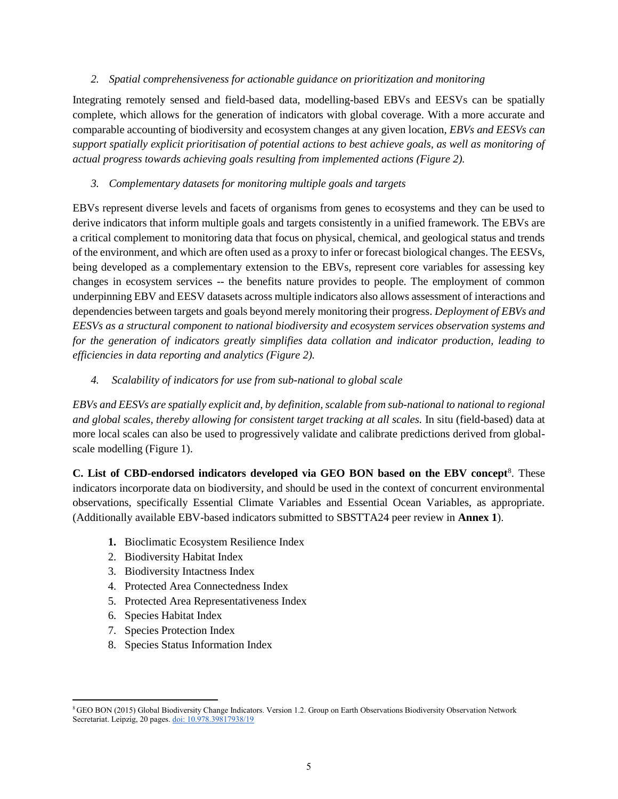### *2. Spatial comprehensiveness for actionable guidance on prioritization and monitoring*

Integrating remotely sensed and field-based data, modelling-based EBVs and EESVs can be spatially complete, which allows for the generation of indicators with global coverage. With a more accurate and comparable accounting of biodiversity and ecosystem changes at any given location, *EBVs and EESVs can support spatially explicit prioritisation of potential actions to best achieve goals, as well as monitoring of actual progress towards achieving goals resulting from implemented actions (Figure 2).*

# *3. Complementary datasets for monitoring multiple goals and targets*

EBVs represent diverse levels and facets of organisms from genes to ecosystems and they can be used to derive indicators that inform multiple goals and targets consistently in a unified framework. The EBVs are a critical complement to monitoring data that focus on physical, chemical, and geological status and trends of the environment, and which are often used as a proxy to infer or forecast biological changes. The EESVs, being developed as a complementary extension to the EBVs, represent core variables for assessing key changes in ecosystem services -- the benefits nature provides to people. The employment of common underpinning EBV and EESV datasets across multiple indicators also allows assessment of interactions and dependencies between targets and goals beyond merely monitoring their progress. *Deployment of EBVs and EESVs as a structural component to national biodiversity and ecosystem services observation systems and for the generation of indicators greatly simplifies data collation and indicator production, leading to efficiencies in data reporting and analytics (Figure 2).*

*4. Scalability of indicators for use from sub-national to global scale*

*EBVs and EESVs are spatially explicit and, by definition, scalable from sub-national to national to regional and global scales, thereby allowing for consistent target tracking at all scales.* In situ (field-based) data at more local scales can also be used to progressively validate and calibrate predictions derived from globalscale modelling (Figure 1).

**C. List of CBD-endorsed indicators developed via GEO BON based on the EBV concept**<sup>8</sup> . These indicators incorporate data on biodiversity, and should be used in the context of concurrent environmental observations, specifically Essential Climate Variables and Essential Ocean Variables, as appropriate. (Additionally available EBV-based indicators submitted to SBSTTA24 peer review in **Annex 1**).

- **1.** Bioclimatic Ecosystem Resilience Index
- 2. Biodiversity Habitat Index
- 3. Biodiversity Intactness Index
- 4. Protected Area Connectedness Index
- 5. Protected Area Representativeness Index
- 6. Species Habitat Index
- 7. Species Protection Index
- 8. Species Status Information Index

 $\overline{\phantom{a}}$ <sup>8</sup> GEO BON (2015) Global Biodiversity Change Indicators. Version 1.2. Group on Earth Observations Biodiversity Observation Network Secretariat. Leipzig, 20 pages. [doi: 10.978.39817938/19](https://www.geobon.org/downloads/biodiversity-monitoring/technical-reports/GEOBON/2015/GBCI-Version1.2-low.pdf)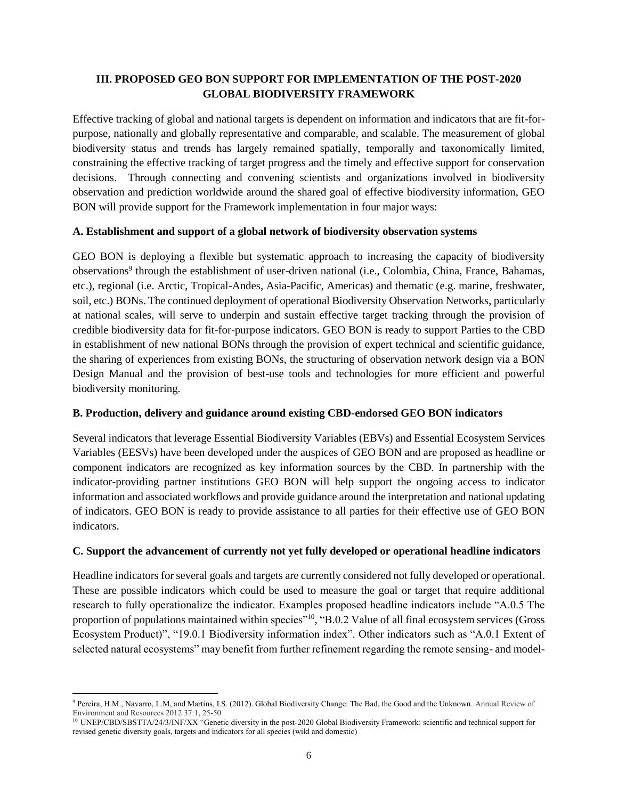## **III. PROPOSED GEO BON SUPPORT FOR IMPLEMENTATION OF THE POST-2020 GLOBAL BIODIVERSITY FRAMEWORK**

Effective tracking of global and national targets is dependent on information and indicators that are fit-forpurpose, nationally and globally representative and comparable, and scalable. The measurement of global biodiversity status and trends has largely remained spatially, temporally and taxonomically limited, constraining the effective tracking of target progress and the timely and effective support for conservation decisions. Through connecting and convening scientists and organizations involved in biodiversity observation and prediction worldwide around the shared goal of effective biodiversity information, GEO BON will provide support for the Framework implementation in four major ways:

### **A. Establishment and support of a global network of biodiversity observation systems**

GEO BON is deploying a flexible but systematic approach to increasing the capacity of biodiversity observations<sup>9</sup> through the establishment of user-driven national (i.e., Colombia, China, France, Bahamas, etc.), regional (i.e. Arctic, Tropical-Andes, Asia-Pacific, Americas) and thematic (e.g. marine, freshwater, soil, etc.) BONs. The continued deployment of operational Biodiversity Observation Networks, particularly at national scales, will serve to underpin and sustain effective target tracking through the provision of credible biodiversity data for fit-for-purpose indicators. GEO BON is ready to support Parties to the CBD in establishment of new national BONs through the provision of expert technical and scientific guidance, the sharing of experiences from existing BONs, the structuring of observation network design via a BON Design Manual and the provision of best-use tools and technologies for more efficient and powerful biodiversity monitoring.

## **B. Production, delivery and guidance around existing CBD-endorsed GEO BON indicators**

Several indicators that leverage Essential Biodiversity Variables (EBVs) and Essential Ecosystem Services Variables (EESVs) have been developed under the auspices of GEO BON and are proposed as headline or component indicators are recognized as key information sources by the CBD. In partnership with the indicator-providing partner institutions GEO BON will help support the ongoing access to indicator information and associated workflows and provide guidance around the interpretation and national updating of indicators. GEO BON is ready to provide assistance to all parties for their effective use of GEO BON indicators.

## **C. Support the advancement of currently not yet fully developed or operational headline indicators**

Headline indicators for several goals and targets are currently considered not fully developed or operational. These are possible indicators which could be used to measure the goal or target that require additional research to fully operationalize the indicator. Examples proposed headline indicators include "A.0.5 The proportion of populations maintained within species"<sup>10</sup>, "B.0.2 Value of all final ecosystem services (Gross Ecosystem Product)", "19.0.1 Biodiversity information index". Other indicators such as "A.0.1 Extent of selected natural ecosystems" may benefit from further refinement regarding the remote sensing- and model-

 $\overline{\phantom{a}}$ <sup>9</sup> Pereira, H.M., Navarro, L.M, and Martins, I.S. (2012). Global Biodiversity Change: The Bad, the Good and the Unknown. Annual Review of Environment and Resources 2012 37:1, 25-50

<sup>&</sup>lt;sup>10</sup> UNEP/CBD/SBSTTA/24/3/INF/XX "Genetic diversity in the post-2020 Global Biodiversity Framework: scientific and technical support for revised genetic diversity goals, targets and indicators for all species (wild and domestic)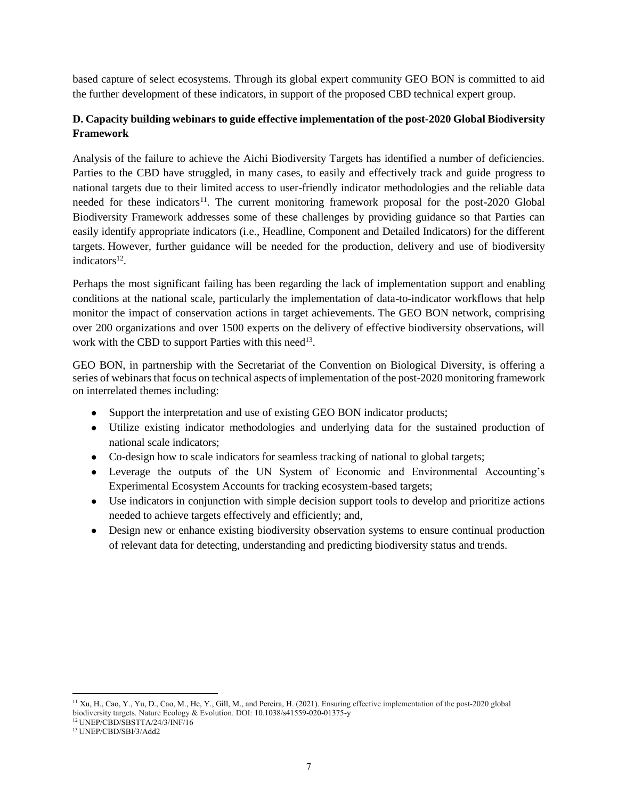based capture of select ecosystems. Through its global expert community GEO BON is committed to aid the further development of these indicators, in support of the proposed CBD technical expert group.

# **D. Capacity building webinars to guide effective implementation of the post-2020 Global Biodiversity Framework**

Analysis of the failure to achieve the Aichi Biodiversity Targets has identified a number of deficiencies. Parties to the CBD have struggled, in many cases, to easily and effectively track and guide progress to national targets due to their limited access to user-friendly indicator methodologies and the reliable data needed for these indicators<sup>11</sup>. The current monitoring framework proposal for the post-2020 Global Biodiversity Framework addresses some of these challenges by providing guidance so that Parties can easily identify appropriate indicators (i.e., Headline, Component and Detailed Indicators) for the different targets. However, further guidance will be needed for the production, delivery and use of biodiversity indicators<sup>12</sup>.

Perhaps the most significant failing has been regarding the lack of implementation support and enabling conditions at the national scale, particularly the implementation of data-to-indicator workflows that help monitor the impact of conservation actions in target achievements. The GEO BON network, comprising over 200 organizations and over 1500 experts on the delivery of effective biodiversity observations, will work with the CBD to support Parties with this need<sup>13</sup>.

GEO BON, in partnership with the Secretariat of the Convention on Biological Diversity, is offering a series of webinars that focus on technical aspects of implementation of the post-2020 monitoring framework on interrelated themes including:

- Support the interpretation and use of existing GEO BON indicator products;
- Utilize existing indicator methodologies and underlying data for the sustained production of national scale indicators;
- Co-design how to scale indicators for seamless tracking of national to global targets;
- Leverage the outputs of the UN System of Economic and Environmental Accounting's Experimental Ecosystem Accounts for tracking ecosystem-based targets;
- Use indicators in conjunction with simple decision support tools to develop and prioritize actions needed to achieve targets effectively and efficiently; and,
- Design new or enhance existing biodiversity observation systems to ensure continual production of relevant data for detecting, understanding and predicting biodiversity status and trends.

<sup>12</sup> UNEP/CBD/SBSTTA/24/3/INF/16

 $\overline{\phantom{a}}$ 

<sup>&</sup>lt;sup>11</sup> Xu, H., Cao, Y., Yu, D., Cao, M., He, Y., Gill, M., and Pereira, H. (2021). Ensuring effective implementation of the post-2020 global biodiversity targets. Nature Ecology & Evolution. DOI: 10.1038/s41559-020-01375-y

<sup>13</sup> UNEP/CBD/SBI/3/Add2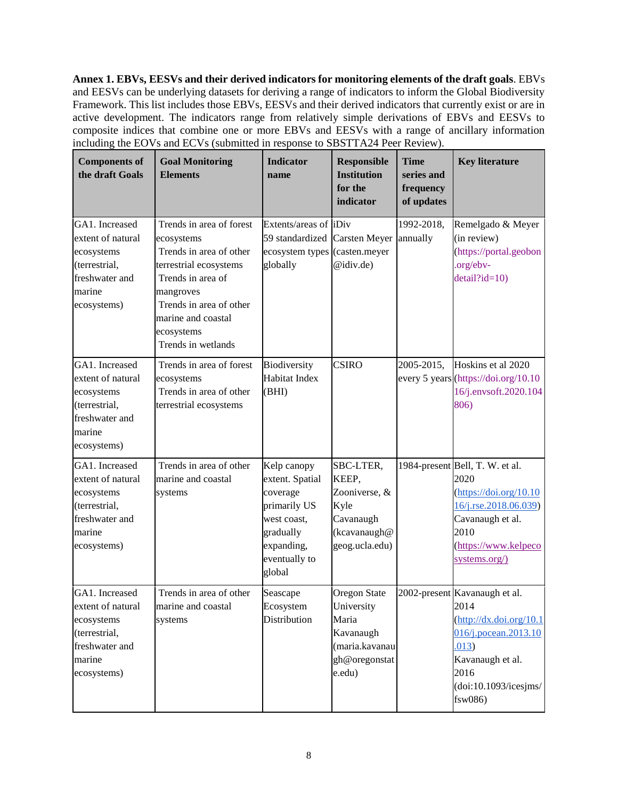**Annex 1. EBVs, EESVs and their derived indicators for monitoring elements of the draft goals**. EBVs and EESVs can be underlying datasets for deriving a range of indicators to inform the Global Biodiversity Framework. This list includes those EBVs, EESVs and their derived indicators that currently exist or are in active development. The indicators range from relatively simple derivations of EBVs and EESVs to composite indices that combine one or more EBVs and EESVs with a range of ancillary information including the EOVs and ECVs (submitted in response to SBSTTA24 Peer Review).

| <b>Components of</b><br>the draft Goals                                                                       | <b>Goal Monitoring</b><br><b>Elements</b>                                                                                                                                                                          | <b>Indicator</b><br>name                                                                                                        | <b>Responsible</b><br><b>Institution</b><br>for the<br>indicator                                     | <b>Time</b><br>series and<br>frequency<br>of updates | <b>Key literature</b>                                                                                                                                                                                    |
|---------------------------------------------------------------------------------------------------------------|--------------------------------------------------------------------------------------------------------------------------------------------------------------------------------------------------------------------|---------------------------------------------------------------------------------------------------------------------------------|------------------------------------------------------------------------------------------------------|------------------------------------------------------|----------------------------------------------------------------------------------------------------------------------------------------------------------------------------------------------------------|
| GA1. Increased<br>extent of natural<br>ecosystems<br>(terrestrial,<br>freshwater and<br>marine<br>ecosystems) | Trends in area of forest<br>ecosystems<br>Trends in area of other<br>terrestrial ecosystems<br>Trends in area of<br>mangroves<br>Trends in area of other<br>marine and coastal<br>ecosystems<br>Trends in wetlands | Extents/areas of iDiv<br>59 standardized<br>ecosystem types (casten.meyer<br>globally                                           | <b>Carsten Meyer</b><br>@idiv.de)                                                                    | 1992-2018.<br>annually                               | Remelgado & Meyer<br>(in review)<br>(https://portal.geobon<br>.org/ebv-<br>$detail$ ?id=10)                                                                                                              |
| GA1. Increased<br>extent of natural<br>ecosystems<br>(terrestrial,<br>freshwater and<br>marine<br>ecosystems) | Trends in area of forest<br>ecosystems<br>Trends in area of other<br>terrestrial ecosystems                                                                                                                        | Biodiversity<br><b>Habitat Index</b><br>(BHI)                                                                                   | <b>CSIRO</b>                                                                                         | 2005-2015,                                           | Hoskins et al 2020<br>every 5 years (https://doi.org/10.10<br>16/j.envsoft.2020.104<br>806)                                                                                                              |
| GA1. Increased<br>extent of natural<br>ecosystems<br>(terrestrial,<br>freshwater and<br>marine<br>ecosystems) | Trends in area of other<br>marine and coastal<br>systems                                                                                                                                                           | Kelp canopy<br>extent. Spatial<br>coverage<br>primarily US<br>west coast,<br>gradually<br>expanding,<br>eventually to<br>global | SBC-LTER,<br>KEEP,<br>Zooniverse, &<br>Kyle<br>Cavanaugh<br>(kcavanaugh@<br>geog.ucla.edu)           |                                                      | 1984-present Bell, T. W. et al.<br>2020<br>$(\frac{https://doi.org/10.10}{https://doi.org/10.10})$<br>16/j.rse.2018.06.039)<br>Cavanaugh et al.<br>2010<br>(https://www.kelpeco<br>systems.org/)         |
| GA1. Increased<br>extent of natural<br>ecosystems<br>(terrestrial,<br>freshwater and<br>marine<br>ecosystems) | Trends in area of other<br>marine and coastal<br>systems                                                                                                                                                           | Seascape<br>Ecosystem<br>Distribution                                                                                           | <b>Oregon State</b><br>University<br>Maria<br>Kavanaugh<br>(maria.kavanau<br>gh@oregonstat<br>e.edu) |                                                      | 2002-present Kavanaugh et al.<br>2014<br>$(\frac{http://dx.doi.org/10.1}{http://dx.doi.org/10.1})$<br>016/j.pocean.2013.10<br>.013)<br>Kavanaugh et al.<br>2016<br>(doi:10.1093/icesims/<br>$f$ sw $086$ |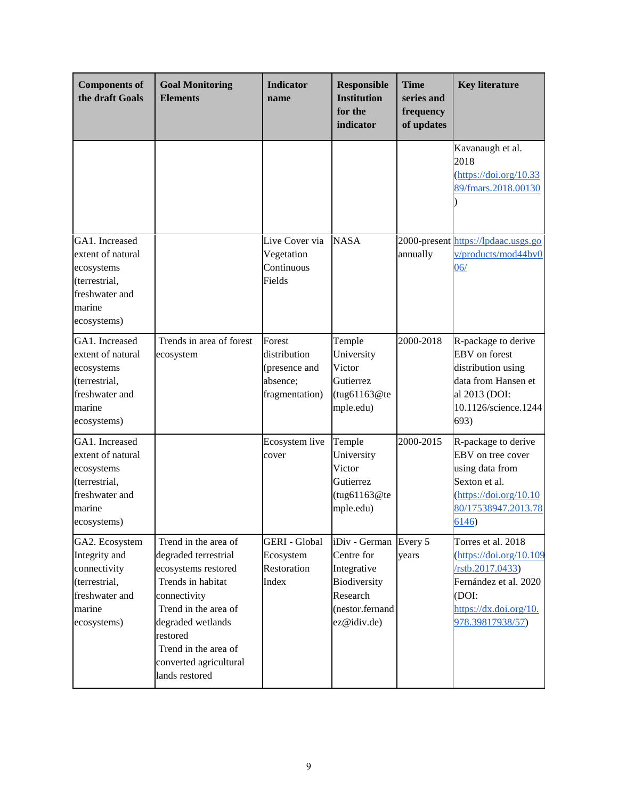| <b>Components of</b><br>the draft Goals                                                                       | <b>Goal Monitoring</b><br><b>Elements</b>                                                                                                                                                                                             | <b>Indicator</b><br>name                                              | <b>Responsible</b><br><b>Institution</b><br>for the<br>indicator                                                 | <b>Time</b><br>series and<br>frequency<br>of updates | <b>Key literature</b>                                                                                                                                                               |
|---------------------------------------------------------------------------------------------------------------|---------------------------------------------------------------------------------------------------------------------------------------------------------------------------------------------------------------------------------------|-----------------------------------------------------------------------|------------------------------------------------------------------------------------------------------------------|------------------------------------------------------|-------------------------------------------------------------------------------------------------------------------------------------------------------------------------------------|
|                                                                                                               |                                                                                                                                                                                                                                       |                                                                       |                                                                                                                  |                                                      | Kavanaugh et al.<br>2018<br>$(\frac{https://doi.org/10.33}{https://doi.org/10.33})$<br>89/fmars.2018.00130                                                                          |
| GA1. Increased<br>extent of natural<br>ecosystems<br>(terrestrial,<br>freshwater and<br>marine<br>ecosystems) |                                                                                                                                                                                                                                       | Live Cover via<br>Vegetation<br>Continuous<br>Fields                  | <b>NASA</b>                                                                                                      | annually                                             | 2000-present https://lpdaac.usgs.go<br>v/products/mod44bv0<br>06/                                                                                                                   |
| GA1. Increased<br>extent of natural<br>ecosystems<br>(terrestrial,<br>freshwater and<br>marine<br>ecosystems) | Trends in area of forest<br>ecosystem                                                                                                                                                                                                 | Forest<br>distribution<br>(presence and<br>absence;<br>fragmentation) | Temple<br>University<br>Victor<br>Gutierrez<br>(tug61163@te<br>mple.edu)                                         | 2000-2018                                            | R-package to derive<br>EBV on forest<br>distribution using<br>data from Hansen et<br>al 2013 (DOI:<br>10.1126/science.1244<br>693)                                                  |
| GA1. Increased<br>extent of natural<br>ecosystems<br>(terrestrial,<br>freshwater and<br>marine<br>ecosystems) |                                                                                                                                                                                                                                       | Ecosystem live<br>cover                                               | Temple<br>University<br>Victor<br>Gutierrez<br>(tug61163@te<br>mple.edu)                                         | 2000-2015                                            | R-package to derive<br>EBV on tree cover<br>using data from<br>Sexton et al.<br>$(\frac{https://doi.org/10.10}{https://doi.org/10.10})$<br>80/17538947.2013.78<br>6146)             |
| GA2. Ecosystem<br>Integrity and<br>connectivity<br>(terrestrial,<br>freshwater and<br>marine<br>ecosystems)   | Trend in the area of<br>degraded terrestrial<br>ecosystems restored<br>Trends in habitat<br>connectivity<br>Trend in the area of<br>degraded wetlands<br>restored<br>Trend in the area of<br>converted agricultural<br>lands restored | <b>GERI</b> - Global<br>Ecosystem<br>Restoration<br>Index             | iDiv - German Every 5<br>Centre for<br>Integrative<br>Biodiversity<br>Research<br>(nestor.fernand<br>ez@idiv.de) | years                                                | Torres et al. 2018<br>$(\frac{https://doi.org/10.109}{https://doi.org/10.109})$<br>/rstb.2017.0433)<br>Fernández et al. 2020<br>(DOI:<br>https://dx.doi.org/10.<br>978.39817938/57) |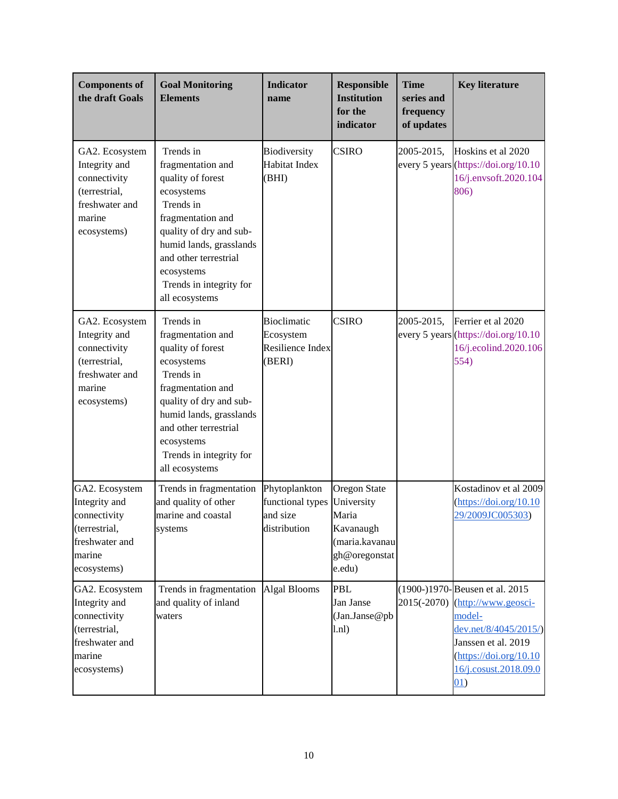| <b>Components of</b><br>the draft Goals                                                                     | <b>Goal Monitoring</b><br><b>Elements</b>                                                                                                                                                                                                     | <b>Indicator</b><br>name                                      | <b>Responsible</b><br><b>Institution</b><br>for the<br>indicator                              | <b>Time</b><br>series and<br>frequency<br>of updates | <b>Key literature</b>                                                                                                                                                                                                   |
|-------------------------------------------------------------------------------------------------------------|-----------------------------------------------------------------------------------------------------------------------------------------------------------------------------------------------------------------------------------------------|---------------------------------------------------------------|-----------------------------------------------------------------------------------------------|------------------------------------------------------|-------------------------------------------------------------------------------------------------------------------------------------------------------------------------------------------------------------------------|
| GA2. Ecosystem<br>Integrity and<br>connectivity<br>(terrestrial,<br>freshwater and<br>marine<br>ecosystems) | Trends in<br>fragmentation and<br>quality of forest<br>ecosystems<br>Trends in<br>fragmentation and<br>quality of dry and sub-<br>humid lands, grasslands<br>and other terrestrial<br>ecosystems<br>Trends in integrity for<br>all ecosystems | Biodiversity<br>Habitat Index<br>(BHI)                        | <b>CSIRO</b>                                                                                  | 2005-2015,                                           | Hoskins et al 2020<br>every 5 years (https://doi.org/10.10<br>16/j.envsoft.2020.104<br>806)                                                                                                                             |
| GA2. Ecosystem<br>Integrity and<br>connectivity<br>(terrestrial,<br>freshwater and<br>marine<br>ecosystems) | Trends in<br>fragmentation and<br>quality of forest<br>ecosystems<br>Trends in<br>fragmentation and<br>quality of dry and sub-<br>humid lands, grasslands<br>and other terrestrial<br>ecosystems<br>Trends in integrity for<br>all ecosystems | <b>Bioclimatic</b><br>Ecosystem<br>Resilience Index<br>(BERI) | <b>CSIRO</b>                                                                                  | 2005-2015,                                           | Ferrier et al 2020<br>every 5 years (https://doi.org/10.10<br>16/j.ecolind.2020.106<br>554)                                                                                                                             |
| GA2. Ecosystem<br>Integrity and<br>connectivity<br>(terrestrial,<br>freshwater and<br>marine<br>ecosystems) | Trends in fragmentation<br>and quality of other<br>marine and coastal<br>systems                                                                                                                                                              | Phytoplankton<br>functional types<br>and size<br>distribution | Oregon State<br>University<br>Maria<br>Kavanaugh<br>(maria.kavanau<br>gh@oregonstat<br>e.edu) |                                                      | Kostadinov et al 2009<br>$(\frac{https://doi.org/10.10}{https://doi.org/10.10})$<br>29/2009JC005303)                                                                                                                    |
| GA2. Ecosystem<br>Integrity and<br>connectivity<br>(terrestrial,<br>freshwater and<br>marine<br>ecosystems) | Trends in fragmentation<br>and quality of inland<br>waters                                                                                                                                                                                    | <b>Algal Blooms</b>                                           | <b>PBL</b><br>Jan Janse<br>(Jan.Janse@pb<br>1.n1)                                             | 2015(-2070)                                          | (1900-)1970-Beusen et al. 2015<br>(http://www.geosci-<br>model-<br>dev.net/8/4045/2015/)<br>Janssen et al. 2019<br>$(\frac{https://doi.org/10.10}{https://doi.org/10.10})$<br>16/j.cosust.2018.09.0<br>$\underline{01}$ |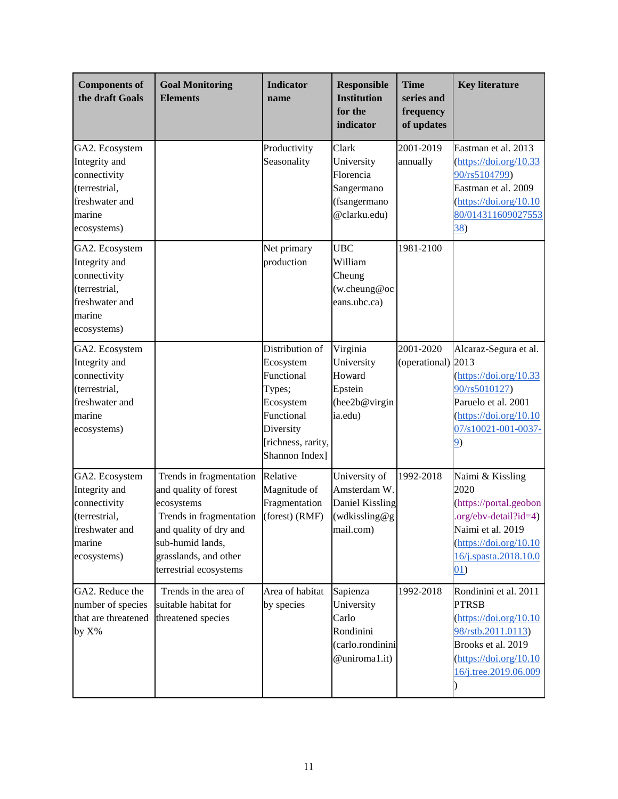| <b>Components of</b><br>the draft Goals                                                                     | <b>Goal Monitoring</b><br><b>Elements</b>                                                                                                                                                  | <b>Indicator</b><br>name                                                                                                             | <b>Responsible</b><br><b>Institution</b><br>for the<br>indicator                  | <b>Time</b><br>series and<br>frequency<br>of updates | <b>Key literature</b>                                                                                                                                                                                                            |
|-------------------------------------------------------------------------------------------------------------|--------------------------------------------------------------------------------------------------------------------------------------------------------------------------------------------|--------------------------------------------------------------------------------------------------------------------------------------|-----------------------------------------------------------------------------------|------------------------------------------------------|----------------------------------------------------------------------------------------------------------------------------------------------------------------------------------------------------------------------------------|
| GA2. Ecosystem<br>Integrity and<br>connectivity<br>(terrestrial,<br>freshwater and<br>marine<br>ecosystems) |                                                                                                                                                                                            | Productivity<br>Seasonality                                                                                                          | Clark<br>University<br>Florencia<br>Sangermano<br>(fsangermano<br>@clarku.edu)    | 2001-2019<br>annually                                | Eastman et al. 2013<br>$(\frac{https://doi.org/10.33}{https://doi.org/10.33})$<br>90/rs5104799)<br>Eastman et al. 2009<br>(htips://doi.org/10.10)<br>80/014311609027553<br><u>38</u> )                                           |
| GA2. Ecosystem<br>Integrity and<br>connectivity<br>(terrestrial,<br>freshwater and<br>marine<br>ecosystems) |                                                                                                                                                                                            | Net primary<br>production                                                                                                            | <b>UBC</b><br>William<br>Cheung<br>(w.cheung@oc<br>eans.ubc.ca)                   | 1981-2100                                            |                                                                                                                                                                                                                                  |
| GA2. Ecosystem<br>Integrity and<br>connectivity<br>(terrestrial,<br>freshwater and<br>marine<br>ecosystems) |                                                                                                                                                                                            | Distribution of<br>Ecosystem<br>Functional<br>Types;<br>Ecosystem<br>Functional<br>Diversity<br>[richness, rarity,<br>Shannon Index] | Virginia<br>University<br>Howard<br>Epstein<br>(hee2b@virgin<br>ia.edu)           | 2001-2020<br>(operational) 2013                      | Alcaraz-Segura et al.<br>$(\frac{https://doi.org/10.33}{https://doi.org/10.33})$<br>90/rs5010127)<br>Paruelo et al. 2001<br>$(\frac{https://doi.org/10.10}{https://doi.org/10.10})$<br>07/s10021-001-0037-<br>9)                 |
| GA2. Ecosystem<br>Integrity and<br>connectivity<br>(terrestrial,<br>freshwater and<br>marine<br>ecosystems) | Trends in fragmentation<br>and quality of forest<br>ecosystems<br>Trends in fragmentation<br>and quality of dry and<br>sub-humid lands,<br>grasslands, and other<br>terrestrial ecosystems | Relative<br>Magnitude of<br>Fragmentation<br>(forest) (RMF)                                                                          | University of<br>Amsterdam W.<br>Daniel Kissling<br>(wdkissling@g<br>mail.com)    | 1992-2018                                            | Naimi & Kissling<br>2020<br>(https://portal.geobon<br>$.org/ebv-detal?id=4)$<br>Naimi et al. 2019<br>$(\frac{https://doi.org/10.10}{https://doi.org/10.10})$<br>16/j.spasta.2018.10.0<br>01)                                     |
| GA2. Reduce the<br>number of species<br>that are threatened<br>by $X\%$                                     | Trends in the area of<br>suitable habitat for<br>threatened species                                                                                                                        | Area of habitat<br>by species                                                                                                        | Sapienza<br>University<br>Carlo<br>Rondinini<br>(carlo.rondinini<br>@uniroma1.it) | 1992-2018                                            | Rondinini et al. 2011<br><b>PTRSB</b><br>$(\frac{https://doi.org/10.10}{https://doi.org/10.10})$<br>98/rstb.2011.0113)<br>Brooks et al. 2019<br>$(\frac{https://doi.org/10.10}{https://doi.org/10.10})$<br>16/j.tree.2019.06.009 |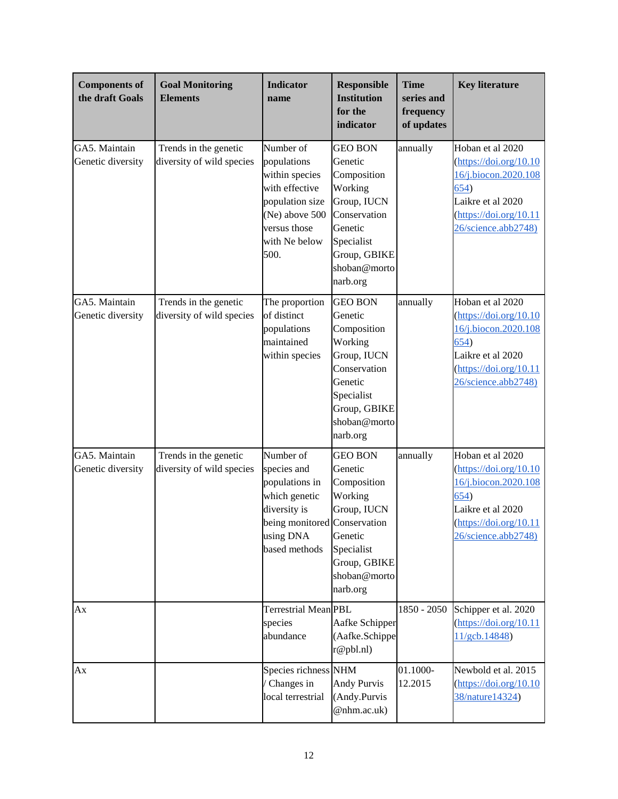| <b>Components of</b><br>the draft Goals | <b>Goal Monitoring</b><br><b>Elements</b>          | <b>Indicator</b><br>name                                                                                                                   | <b>Responsible</b><br><b>Institution</b><br>for the<br>indicator                                                                                        | <b>Time</b><br>series and<br>frequency<br>of updates | <b>Key literature</b>                                                                                                                                                                                              |
|-----------------------------------------|----------------------------------------------------|--------------------------------------------------------------------------------------------------------------------------------------------|---------------------------------------------------------------------------------------------------------------------------------------------------------|------------------------------------------------------|--------------------------------------------------------------------------------------------------------------------------------------------------------------------------------------------------------------------|
| GA5. Maintain<br>Genetic diversity      | Trends in the genetic<br>diversity of wild species | Number of<br>populations<br>within species<br>with effective<br>population size<br>(Ne) above 500<br>versus those<br>with Ne below<br>500. | <b>GEO BON</b><br>Genetic<br>Composition<br>Working<br>Group, IUCN<br>Conservation<br>Genetic<br>Specialist<br>Group, GBIKE<br>shoban@morto<br>narb.org | annually                                             | Hoban et al 2020<br>$(\frac{https://doi.org/10.10}{https://doi.org/10.10})$<br>16/j.biocon.2020.108<br>654)<br>Laikre et al 2020<br>$(\frac{https://doi.org/10.11}{https://doi.org/10.11})$<br>26/science.abb2748) |
| GA5. Maintain<br>Genetic diversity      | Trends in the genetic<br>diversity of wild species | The proportion<br>of distinct<br>populations<br>maintained<br>within species                                                               | <b>GEO BON</b><br>Genetic<br>Composition<br>Working<br>Group, IUCN<br>Conservation<br>Genetic<br>Specialist<br>Group, GBIKE<br>shoban@morto<br>narb.org | annually                                             | Hoban et al 2020<br>$(\frac{https://doi.org/10.10}{https://doi.org/10.10})$<br>16/j.biocon.2020.108<br>654)<br>Laikre et al 2020<br>$(\frac{https://doi.org/10.11}{https://doi.org/10.11})$<br>26/science.abb2748) |
| GA5. Maintain<br>Genetic diversity      | Trends in the genetic<br>diversity of wild species | Number of<br>species and<br>populations in<br>which genetic<br>diversity is<br>being monitored Conservation<br>using DNA<br>based methods  | <b>GEO BON</b><br>Genetic<br>Composition<br>Working<br>Group, IUCN<br>Genetic<br>Specialist<br>Group, GBIKE<br>shoban@morto<br>narb.org                 | annually                                             | Hoban et al 2020<br>$(\frac{https://doi.org/10.10}{https://doi.org/10.10})$<br>16/j.biocon.2020.108<br>654)<br>Laikre et al 2020<br>$(\text{https://doi.org/10.11})$<br>26/science.abb2748)                        |
| Ax                                      |                                                    | Terrestrial Mean PBL<br>species<br>abundance                                                                                               | Aafke Schipper<br>(Aafke.Schippe<br>r@pbl.nl)                                                                                                           | 1850 - 2050                                          | Schipper et al. 2020<br>$(\frac{https://doi.org/10.11}{https://doi.org/10.11})$<br>11/gcb.14848)                                                                                                                   |
| Ax                                      |                                                    | Species richness NHM<br>Changes in<br>local terrestrial                                                                                    | <b>Andy Purvis</b><br>(Andy.Purvis<br>@nhm.ac.uk)                                                                                                       | 01.1000-<br>12.2015                                  | Newbold et al. 2015<br>$(\frac{https://doi.org/10.10}{https://doi.org/10.10})$<br>38/nature14324)                                                                                                                  |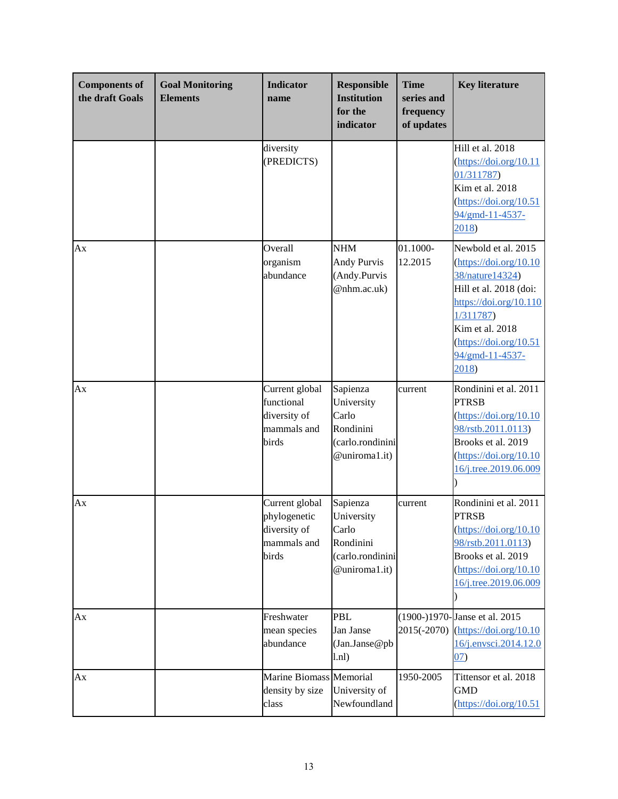| <b>Components of</b><br>the draft Goals | <b>Goal Monitoring</b><br><b>Elements</b> | <b>Indicator</b><br>name                                               | <b>Responsible</b><br><b>Institution</b><br>for the<br>indicator                  | <b>Time</b><br>series and<br>frequency<br>of updates | <b>Key literature</b>                                                                                                                                                                                                                                                                                        |
|-----------------------------------------|-------------------------------------------|------------------------------------------------------------------------|-----------------------------------------------------------------------------------|------------------------------------------------------|--------------------------------------------------------------------------------------------------------------------------------------------------------------------------------------------------------------------------------------------------------------------------------------------------------------|
|                                         |                                           | diversity<br>(PREDICTS)                                                |                                                                                   |                                                      | Hill et al. 2018<br>$(\frac{https://doi.org/10.11}{https://doi.org/10.11})$<br>01/311787)<br>Kim et al. 2018<br>$(\frac{https://doi.org/10.51}{https://doi.org/10.51})$<br>94/gmd-11-4537-<br>2018)                                                                                                          |
| Аx                                      |                                           | Overall<br>organism<br>abundance                                       | <b>NHM</b><br><b>Andy Purvis</b><br>(Andy.Purvis<br>@nhm.ac.uk)                   | 01.1000-<br>12.2015                                  | Newbold et al. 2015<br>$(\frac{https://doi.org/10.10}{https://doi.org/10.10})$<br>38/nature14324)<br>Hill et al. 2018 (doi:<br>$\frac{https://doi.org/10.110}{https://doi.org/10.110}$<br>1/311787<br>Kim et al. 2018<br>$(\frac{https://doi.org/10.51}{https://doi.org/10.51})$<br>94/gmd-11-4537-<br>2018) |
| Аx                                      |                                           | Current global<br>functional<br>diversity of<br>mammals and<br>birds   | Sapienza<br>University<br>Carlo<br>Rondinini<br>(carlo.rondinini<br>@uniroma1.it) | current                                              | Rondinini et al. 2011<br><b>PTRSB</b><br>$(\frac{https://doi.org/10.10}{https://doi.org/10.10})$<br>98/rstb.2011.0113)<br>Brooks et al. 2019<br>$(\frac{https://doi.org/10.10}{https://doi.org/10.10})$<br>16/j.tree.2019.06.009                                                                             |
| Ax                                      |                                           | Current global<br>phylogenetic<br>diversity of<br>mammals and<br>birds | Sapienza<br>University<br>Carlo<br>Rondinini<br>(carlo.rondinini<br>@uniroma1.it) | current                                              | Rondinini et al. 2011<br><b>PTRSB</b><br>$(\frac{https://doi.org/10.10}{https://doi.org/10.10})$<br>98/rstb.2011.0113)<br>Brooks et al. 2019<br>$(\frac{https://doi.org/10.10}{https://doi.org/10.10})$<br>16/j.tree.2019.06.009                                                                             |
| Ax                                      |                                           | Freshwater<br>mean species<br>abundance                                | <b>PBL</b><br>Jan Janse<br>(Jan.Janse@pb<br>1.n1)                                 | 2015(-2070)                                          | (1900-)1970-Janse et al. 2015<br>$(\frac{https://doi.org/10.10}{https://doi.org/10.10})$<br>16/j.envsci.2014.12.0<br>07)                                                                                                                                                                                     |
| Ax                                      |                                           | <b>Marine Biomass Memorial</b><br>density by size<br>class             | University of<br>Newfoundland                                                     | 1950-2005                                            | Tittensor et al. 2018<br><b>GMD</b><br>$(\frac{https://doi.org/10.51}{https://doi.org/10.51})$                                                                                                                                                                                                               |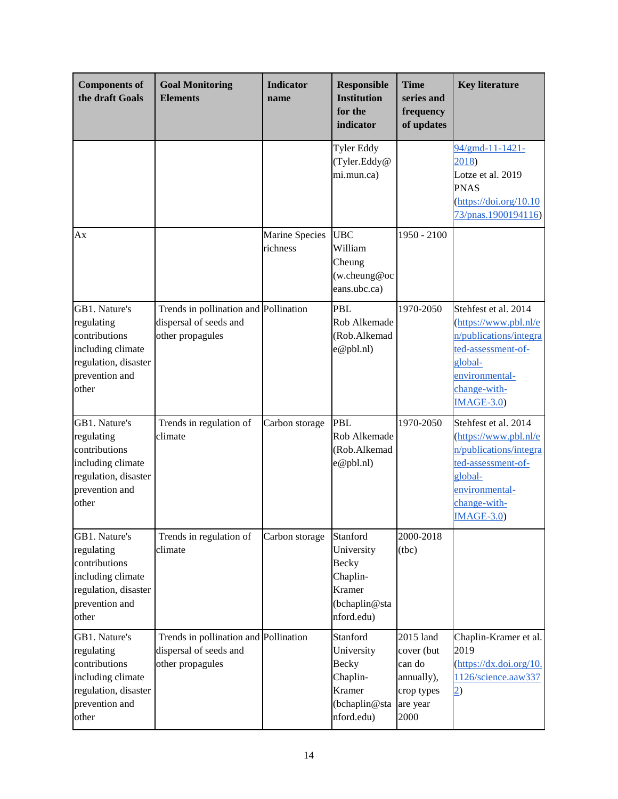| <b>Components of</b><br>the draft Goals                                                                              | <b>Goal Monitoring</b><br><b>Elements</b>                                           | <b>Indicator</b><br>name   | <b>Responsible</b><br><b>Institution</b><br>for the<br>indicator                            | <b>Time</b><br>series and<br>frequency<br>of updates                              | <b>Key literature</b>                                                                                                                                      |
|----------------------------------------------------------------------------------------------------------------------|-------------------------------------------------------------------------------------|----------------------------|---------------------------------------------------------------------------------------------|-----------------------------------------------------------------------------------|------------------------------------------------------------------------------------------------------------------------------------------------------------|
|                                                                                                                      |                                                                                     |                            | Tyler Eddy<br>(Tyler.Eddy@<br>mi.mun.ca)                                                    |                                                                                   | 94/gmd-11-1421-<br>2018)<br>Lotze et al. 2019<br><b>PNAS</b><br>$(\frac{https://doi.org/10.10}{https://doi.org/10.10})$<br>73/pnas.1900194116)             |
| Ax                                                                                                                   |                                                                                     | Marine Species<br>richness | <b>UBC</b><br>William<br>Cheung<br>(w.cheung@oc<br>eans.ubc.ca)                             | 1950 - 2100                                                                       |                                                                                                                                                            |
| GB1. Nature's<br>regulating<br>contributions<br>including climate<br>regulation, disaster<br>prevention and<br>other | Trends in pollination and Pollination<br>dispersal of seeds and<br>other propagules |                            | <b>PBL</b><br>Rob Alkemade<br>(Rob.Alkemad<br>e@pbl.nl)                                     | 1970-2050                                                                         | Stehfest et al. 2014<br>(https://www.pbl.nl/e<br>n/publications/integra<br>ted-assessment-of-<br>global-<br>environmental-<br>change-with-<br>$IMAGE-3.0)$ |
| GB1. Nature's<br>regulating<br>contributions<br>including climate<br>regulation, disaster<br>prevention and<br>other | Trends in regulation of<br>climate                                                  | Carbon storage             | <b>PBL</b><br>Rob Alkemade<br>(Rob.Alkemad<br>e@pbl.nl)                                     | 1970-2050                                                                         | Stehfest et al. 2014<br>(https://www.pbl.nl/e<br>n/publications/integra<br>ted-assessment-of-<br>global-<br>environmental-<br>change-with-<br>$IMAGE-3.0)$ |
| GB1. Nature's<br>regulating<br>contributions<br>including climate<br>regulation, disaster<br>prevention and<br>other | Trends in regulation of<br>climate                                                  | Carbon storage             | Stanford<br>University<br><b>Becky</b><br>Chaplin-<br>Kramer<br>(bchaplin@sta<br>nford.edu) | 2000-2018<br>(tbc)                                                                |                                                                                                                                                            |
| GB1. Nature's<br>regulating<br>contributions<br>including climate<br>regulation, disaster<br>prevention and<br>other | Trends in pollination and Pollination<br>dispersal of seeds and<br>other propagules |                            | Stanford<br>University<br><b>Becky</b><br>Chaplin-<br>Kramer<br>(bchaplin@sta<br>nford.edu) | 2015 land<br>cover (but<br>can do<br>annually),<br>crop types<br>are year<br>2000 | Chaplin-Kramer et al.<br>2019<br>$(\frac{https://dx.doi.org/10.$<br>1126/science.aaw337<br>$\overline{2}$                                                  |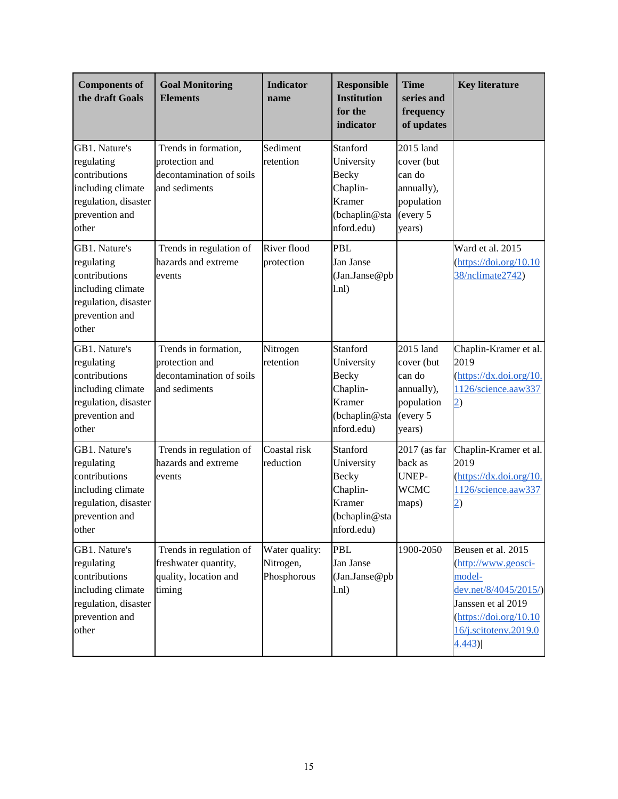| <b>Components of</b><br>the draft Goals                                                                              | <b>Goal Monitoring</b><br><b>Elements</b>                                           | <b>Indicator</b><br>name                   | <b>Responsible</b><br><b>Institution</b><br>for the<br>indicator                            | <b>Time</b><br>series and<br>frequency<br>of updates                                | <b>Key literature</b>                                                                                                                                                                                                           |
|----------------------------------------------------------------------------------------------------------------------|-------------------------------------------------------------------------------------|--------------------------------------------|---------------------------------------------------------------------------------------------|-------------------------------------------------------------------------------------|---------------------------------------------------------------------------------------------------------------------------------------------------------------------------------------------------------------------------------|
| GB1. Nature's<br>regulating<br>contributions<br>including climate<br>regulation, disaster<br>prevention and<br>other | Trends in formation,<br>protection and<br>decontamination of soils<br>and sediments | Sediment<br>retention                      | Stanford<br>University<br><b>Becky</b><br>Chaplin-<br>Kramer<br>(bchaplin@sta<br>nford.edu) | 2015 land<br>cover (but<br>can do<br>annually),<br>population<br>(every 5<br>years) |                                                                                                                                                                                                                                 |
| GB1. Nature's<br>regulating<br>contributions<br>including climate<br>regulation, disaster<br>prevention and<br>other | Trends in regulation of<br>hazards and extreme<br>events                            | River flood<br>protection                  | <b>PBL</b><br>Jan Janse<br>(Jan.Janse@pb<br>1.n1)                                           |                                                                                     | Ward et al. 2015<br>$(\frac{https://doi.org/10.10}{https://doi.org/10.10})$<br>38/nclimate2742)                                                                                                                                 |
| GB1. Nature's<br>regulating<br>contributions<br>including climate<br>regulation, disaster<br>prevention and<br>other | Trends in formation,<br>protection and<br>decontamination of soils<br>and sediments | Nitrogen<br>retention                      | Stanford<br>University<br><b>Becky</b><br>Chaplin-<br>Kramer<br>(bchaplin@sta<br>nford.edu) | 2015 land<br>cover (but<br>can do<br>annually),<br>population<br>(every 5<br>years) | Chaplin-Kramer et al.<br>2019<br>$(\frac{https://dx.doi.org/10.$<br>1126/science.aaw337<br>$\overline{2}$                                                                                                                       |
| GB1. Nature's<br>regulating<br>contributions<br>including climate<br>regulation, disaster<br>prevention and<br>other | Trends in regulation of<br>hazards and extreme<br>events                            | Coastal risk<br>reduction                  | Stanford<br>University<br>Becky<br>Chaplin-<br>Kramer<br>(bchaplin@sta<br>nford.edu)        | 2017 (as far<br>back as<br><b>UNEP-</b><br><b>WCMC</b><br>maps)                     | Chaplin-Kramer et al.<br>2019<br>$(\text{https://dx.doi.org/10.}$<br>1126/science.aaw337<br>$\overline{2}$                                                                                                                      |
| GB1. Nature's<br>regulating<br>contributions<br>including climate<br>regulation, disaster<br>prevention and<br>other | Trends in regulation of<br>freshwater quantity,<br>quality, location and<br>timing  | Water quality:<br>Nitrogen,<br>Phosphorous | PBL<br>Jan Janse<br>(Jan.Janse@pb<br>1.n1)                                                  | 1900-2050                                                                           | Beusen et al. 2015<br>$(\frac{http://www.geosci-1}{http://www.geosci-1})$<br>model-<br>dev.net/8/4045/2015/)<br>Janssen et al 2019<br>$(\frac{https://doi.org/10.10}{https://doi.org/10.10})$<br>16/j.scitotenv.2019.0<br>4.443 |